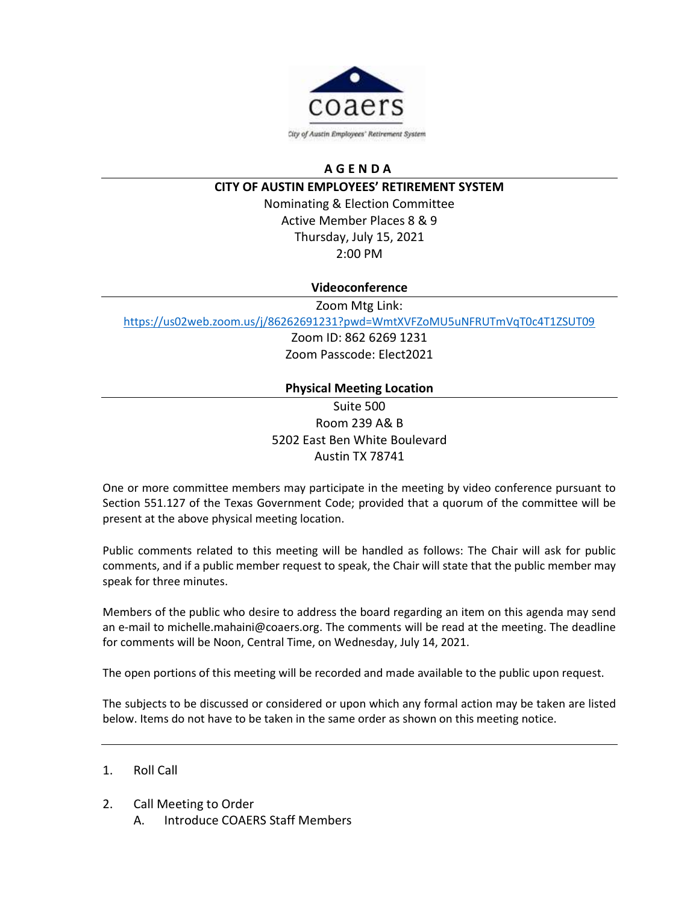

# A G E N D A

#### CITY OF AUSTIN EMPLOYEES' RETIREMENT SYSTEM

Nominating & Election Committee Active Member Places 8 & 9 Thursday, July 15, 2021 2:00 PM

### Videoconference

Zoom Mtg Link:

https://us02web.zoom.us/j/86262691231?pwd=WmtXVFZoMU5uNFRUTmVqT0c4T1ZSUT09

Zoom ID: 862 6269 1231 Zoom Passcode: Elect2021

## Physical Meeting Location

Suite 500 Room 239 A& B 5202 East Ben White Boulevard Austin TX 78741

One or more committee members may participate in the meeting by video conference pursuant to Section 551.127 of the Texas Government Code; provided that a quorum of the committee will be present at the above physical meeting location.

Public comments related to this meeting will be handled as follows: The Chair will ask for public comments, and if a public member request to speak, the Chair will state that the public member may speak for three minutes.

Members of the public who desire to address the board regarding an item on this agenda may send an e-mail to michelle.mahaini@coaers.org. The comments will be read at the meeting. The deadline for comments will be Noon, Central Time, on Wednesday, July 14, 2021.

The open portions of this meeting will be recorded and made available to the public upon request.

The subjects to be discussed or considered or upon which any formal action may be taken are listed below. Items do not have to be taken in the same order as shown on this meeting notice.

### 1. Roll Call

- 2. Call Meeting to Order
	- A. Introduce COAERS Staff Members